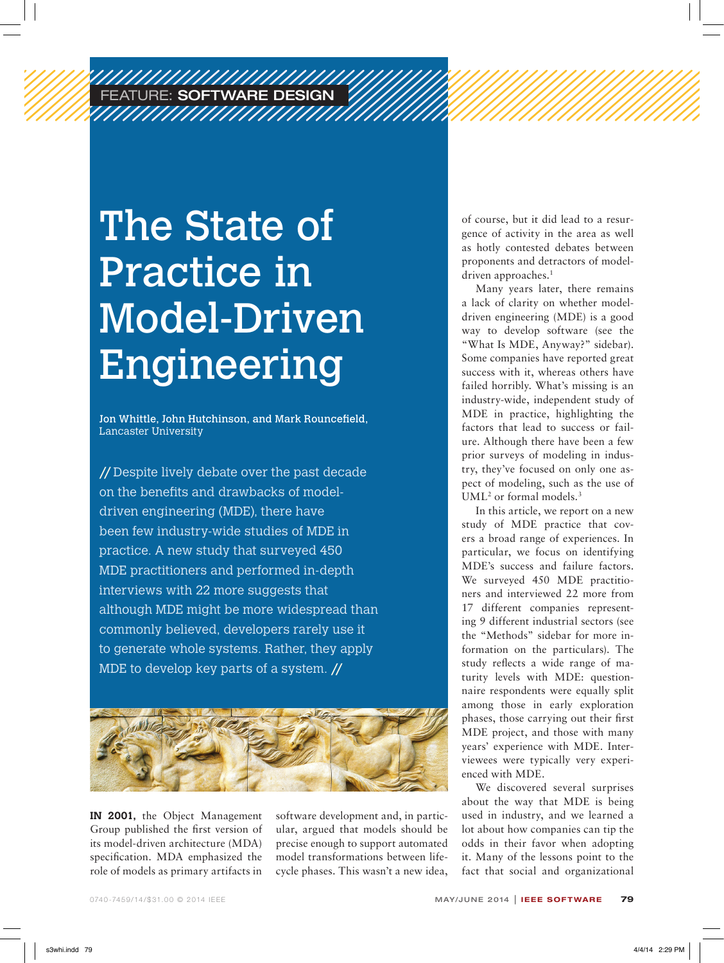# FEATURE: SOFTWARE DESIGN

# The State of Practice in Model-Driven Engineering

Jon Whittle, John Hutchinson, and Mark Rouncefield, Lancaster University

**//** Despite lively debate over the past decade on the benefits and drawbacks of modeldriven engineering (MDE), there have been few industry-wide studies of MDE in practice. A new study that surveyed 450 MDE practitioners and performed in-depth interviews with 22 more suggests that although MDE might be more widespread than commonly believed, developers rarely use it to generate whole systems. Rather, they apply MDE to develop key parts of a system. **//**



**IN 2001,** the Object Management Group published the first version of its model-driven architecture (MDA) specification. MDA emphasized the role of models as primary artifacts in software development and, in particular, argued that models should be precise enough to support automated model transformations between lifecycle phases. This wasn't a new idea, of course, but it did lead to a resurgence of activity in the area as well as hotly contested debates between proponents and detractors of modeldriven approaches.<sup>1</sup>

Many years later, there remains a lack of clarity on whether modeldriven engineering (MDE) is a good way to develop software (see the "What Is MDE, Anyway?" sidebar). Some companies have reported great success with it, whereas others have failed horribly. What's missing is an industry-wide, independent study of MDE in practice, highlighting the factors that lead to success or failure. Although there have been a few prior surveys of modeling in industry, they've focused on only one aspect of modeling, such as the use of UML<sup>2</sup> or formal models.<sup>3</sup>

In this article, we report on a new study of MDE practice that covers a broad range of experiences. In particular, we focus on identifying MDE's success and failure factors. We surveyed 450 MDE practitioners and interviewed 22 more from 17 different companies representing 9 different industrial sectors (see the "Methods" sidebar for more information on the particulars). The study reflects a wide range of maturity levels with MDE: questionnaire respondents were equally split among those in early exploration phases, those carrying out their first MDE project, and those with many years' experience with MDE. Interviewees were typically very experienced with MDE.

We discovered several surprises about the way that MDE is being used in industry, and we learned a lot about how companies can tip the odds in their favor when adopting it. Many of the lessons point to the fact that social and organizational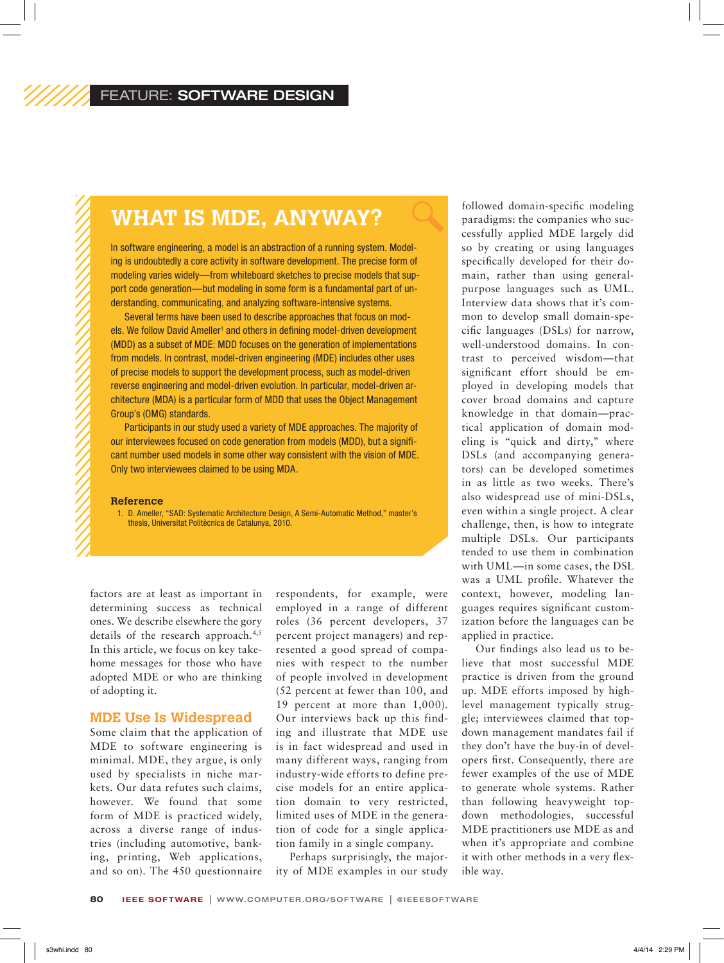# **WHAT IS MDE, ANYWAY?**

In software engineering, a model is an abstraction of a running system. Modeling is undoubtedly a core activity in software development. The precise form of modeling varies widely—from whiteboard sketches to precise models that support code generation—but modeling in some form is a fundamental part of understanding, communicating, and analyzing software-intensive systems.

Several terms have been used to describe approaches that focus on models. We follow David Ameller<sup>1</sup> and others in defining model-driven development (MDD) as a subset of MDE: MDD focuses on the generation of implementations from models. In contrast, model-driven engineering (MDE) includes other uses of precise models to support the development process, such as model-driven reverse engineering and model-driven evolution. In particular, model-driven architecture (MDA) is a particular form of MDD that uses the Object Management Group's (OMG) standards.

Participants in our study used a variety of MDE approaches. The majority of our interviewees focused on code generation from models (MDD), but a significant number used models in some other way consistent with the vision of MDE. Only two interviewees claimed to be using MDA.

#### **Reference**

1. D. Ameller, "SAD: Systematic Architecture Design, A Semi-Automatic Method," master's thesis, Universitat Politècnica de Catalunya, 2010.

factors are at least as important in determining success as technical ones. We describe elsewhere the gory details of the research approach.<sup>4,5</sup> In this article, we focus on key takehome messages for those who have adopted MDE or who are thinking of adopting it.

# **MDE Use Is Widespread**

Some claim that the application of MDE to software engineering is minimal. MDE, they argue, is only used by specialists in niche markets. Our data refutes such claims, however. We found that some form of MDE is practiced widely, across a diverse range of industries (including automotive, banking, printing, Web applications, and so on). The 450 questionnaire

respondents, for example, were employed in a range of different roles (36 percent developers, 37 percent project managers) and represented a good spread of companies with respect to the number of people involved in development (52 percent at fewer than 100, and 19 percent at more than 1,000). Our interviews back up this finding and illustrate that MDE use is in fact widespread and used in many different ways, ranging from industry-wide efforts to define precise models for an entire application domain to very restricted, limited uses of MDE in the generation of code for a single application family in a single company.

Perhaps surprisingly, the majority of MDE examples in our study

followed domain-specific modeling paradigms: the companies who successfully applied MDE largely did so by creating or using languages specifically developed for their domain, rather than using generalpurpose languages such as UML. Interview data shows that it's common to develop small domain-specific languages (DSLs) for narrow, well-understood domains. In contrast to perceived wisdom—that significant effort should be employed in developing models that cover broad domains and capture knowledge in that domain—practical application of domain modeling is "quick and dirty," where DSLs (and accompanying generators) can be developed sometimes in as little as two weeks. There's also widespread use of mini-DSLs, even within a single project. A clear challenge, then, is how to integrate multiple DSLs. Our participants tended to use them in combination with UML—in some cases, the DSL was a UML profile. Whatever the context, however, modeling languages requires significant customization before the languages can be applied in practice.

Our findings also lead us to believe that most successful MDE practice is driven from the ground up. MDE efforts imposed by highlevel management typically struggle; interviewees claimed that topdown management mandates fail if they don't have the buy-in of developers first. Consequently, there are fewer examples of the use of MDE to generate whole systems. Rather than following heavyweight topdown methodologies, successful MDE practitioners use MDE as and when it's appropriate and combine it with other methods in a very flexible way.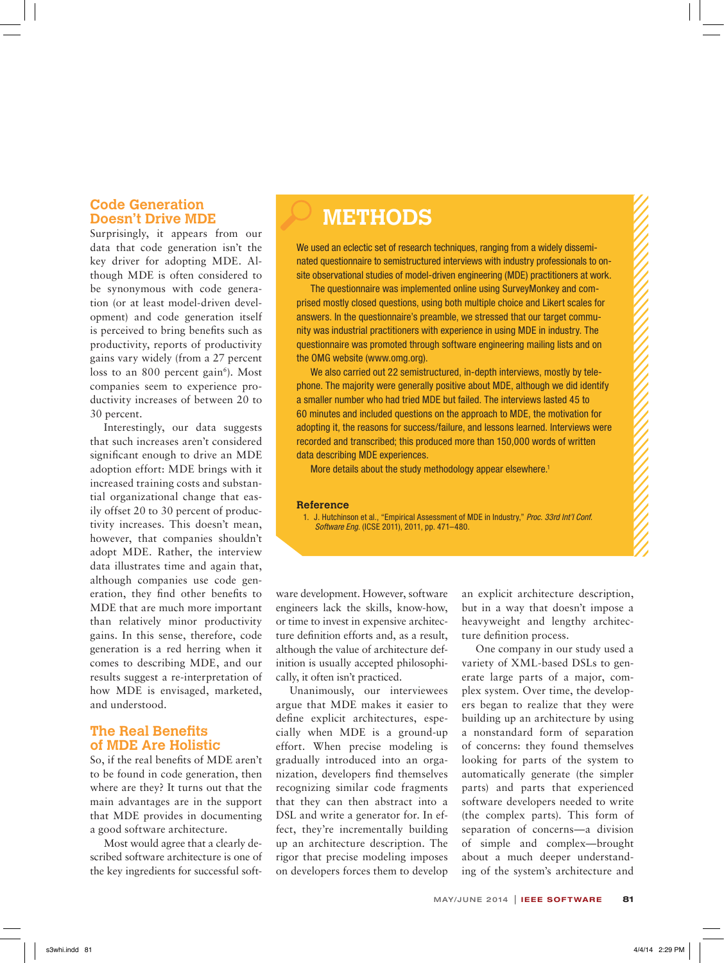# **Code Generation Doesn't Drive MDE**

Surprisingly, it appears from our data that code generation isn't the key driver for adopting MDE. Although MDE is often considered to be synonymous with code generation (or at least model-driven development) and code generation itself is perceived to bring benefits such as productivity, reports of productivity gains vary widely (from a 27 percent loss to an 800 percent gain<sup>6</sup>). Most companies seem to experience productivity increases of between 20 to 30 percent.

Interestingly, our data suggests that such increases aren't considered significant enough to drive an MDE adoption effort: MDE brings with it increased training costs and substantial organizational change that easily offset 20 to 30 percent of productivity increases. This doesn't mean, however, that companies shouldn't adopt MDE. Rather, the interview data illustrates time and again that, although companies use code generation, they find other benefits to MDE that are much more important than relatively minor productivity gains. In this sense, therefore, code generation is a red herring when it comes to describing MDE, and our results suggest a re-interpretation of how MDE is envisaged, marketed, and understood.

# **The Real Benefits of MDE Are Holistic**

So, if the real benefits of MDE aren't to be found in code generation, then where are they? It turns out that the main advantages are in the support that MDE provides in documenting a good software architecture.

Most would agree that a clearly described software architecture is one of the key ingredients for successful soft-

# **METHODS**

We used an eclectic set of research techniques, ranging from a widely disseminated questionnaire to semistructured interviews with industry professionals to onsite observational studies of model-driven engineering (MDE) practitioners at work.

The questionnaire was implemented online using SurveyMonkey and comprised mostly closed questions, using both multiple choice and Likert scales for answers. In the questionnaire's preamble, we stressed that our target community was industrial practitioners with experience in using MDE in industry. The questionnaire was promoted through software engineering mailing lists and on the OMG website (www.omg.org).

We also carried out 22 semistructured, in-depth interviews, mostly by telephone. The majority were generally positive about MDE, although we did identify a smaller number who had tried MDE but failed. The interviews lasted 45 to 60 minutes and included questions on the approach to MDE, the motivation for adopting it, the reasons for success/failure, and lessons learned. Interviews were recorded and transcribed; this produced more than 150,000 words of written data describing MDE experiences.

More details about the study methodology appear elsewhere.<sup>1</sup>

#### **Reference**

1. J. Hutchinson et al., "Empirical Assessment of MDE in Industry," *Proc. 33rd Int'l Conf. Software Eng.* (ICSE 2011), 2011, pp. 471–480.

ware development. However, software engineers lack the skills, know-how, or time to invest in expensive architecture definition efforts and, as a result, although the value of architecture definition is usually accepted philosophically, it often isn't practiced.

Unanimously, our interviewees argue that MDE makes it easier to define explicit architectures, especially when MDE is a ground-up effort. When precise modeling is gradually introduced into an organization, developers find themselves recognizing similar code fragments that they can then abstract into a DSL and write a generator for. In effect, they're incrementally building up an architecture description. The rigor that precise modeling imposes on developers forces them to develop

an explicit architecture description, but in a way that doesn't impose a heavyweight and lengthy architecture definition process.

One company in our study used a variety of XML-based DSLs to generate large parts of a major, complex system. Over time, the developers began to realize that they were building up an architecture by using a nonstandard form of separation of concerns: they found themselves looking for parts of the system to automatically generate (the simpler parts) and parts that experienced software developers needed to write (the complex parts). This form of separation of concerns—a division of simple and complex—brought about a much deeper understanding of the system's architecture and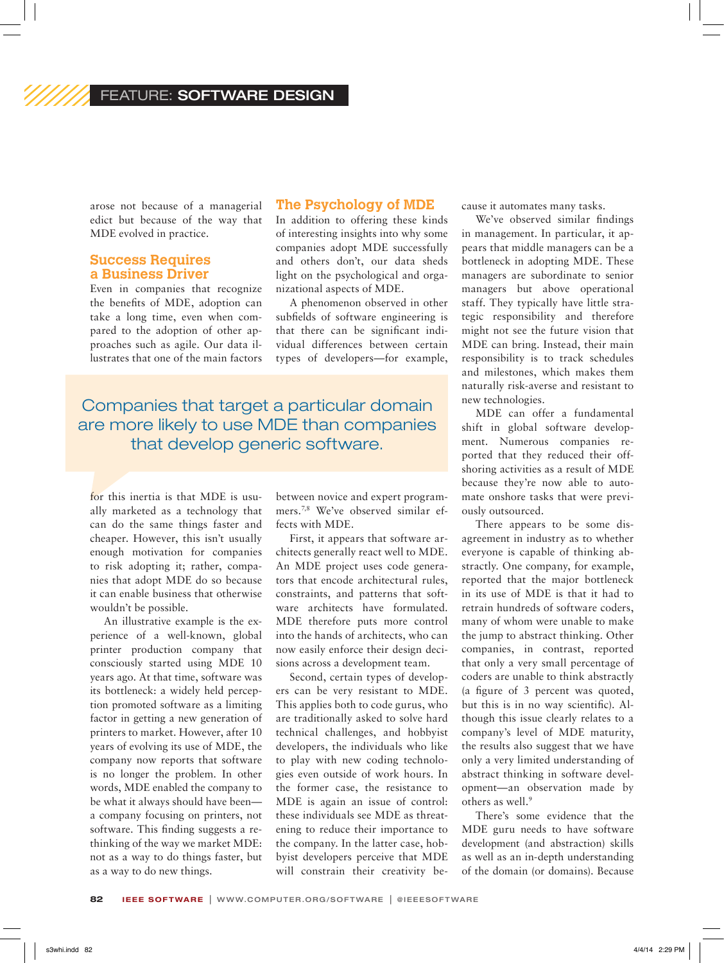arose not because of a managerial edict but because of the way that MDE evolved in practice.

## **Success Requires a Business Driver**

Even in companies that recognize the benefits of MDE, adoption can take a long time, even when compared to the adoption of other approaches such as agile. Our data illustrates that one of the main factors

# **The Psychology of MDE**

In addition to offering these kinds of interesting insights into why some companies adopt MDE successfully and others don't, our data sheds light on the psychological and organizational aspects of MDE.

A phenomenon observed in other subfields of software engineering is that there can be significant individual differences between certain types of developers—for example,

Companies that target a particular domain are more likely to use MDE than companies that develop generic software.

for this inertia is that MDE is usually marketed as a technology that can do the same things faster and cheaper. However, this isn't usually enough motivation for companies to risk adopting it; rather, companies that adopt MDE do so because it can enable business that otherwise wouldn't be possible.

An illustrative example is the experience of a well-known, global printer production company that consciously started using MDE 10 years ago. At that time, software was its bottleneck: a widely held perception promoted software as a limiting factor in getting a new generation of printers to market. However, after 10 years of evolving its use of MDE, the company now reports that software is no longer the problem. In other words, MDE enabled the company to be what it always should have been a company focusing on printers, not software. This finding suggests a rethinking of the way we market MDE: not as a way to do things faster, but as a way to do new things.

between novice and expert programmers.7,8 We've observed similar effects with MDE.

First, it appears that software architects generally react well to MDE. An MDE project uses code generators that encode architectural rules, constraints, and patterns that software architects have formulated. MDE therefore puts more control into the hands of architects, who can now easily enforce their design decisions across a development team.

Second, certain types of developers can be very resistant to MDE. This applies both to code gurus, who are traditionally asked to solve hard technical challenges, and hobbyist developers, the individuals who like to play with new coding technologies even outside of work hours. In the former case, the resistance to MDE is again an issue of control: these individuals see MDE as threatening to reduce their importance to the company. In the latter case, hobbyist developers perceive that MDE will constrain their creativity because it automates many tasks.

We've observed similar findings in management. In particular, it appears that middle managers can be a bottleneck in adopting MDE. These managers are subordinate to senior managers but above operational staff. They typically have little strategic responsibility and therefore might not see the future vision that MDE can bring. Instead, their main responsibility is to track schedules and milestones, which makes them naturally risk-averse and resistant to new technologies.

MDE can offer a fundamental shift in global software development. Numerous companies reported that they reduced their offshoring activities as a result of MDE because they're now able to automate onshore tasks that were previously outsourced.

There appears to be some disagreement in industry as to whether everyone is capable of thinking abstractly. One company, for example, reported that the major bottleneck in its use of MDE is that it had to retrain hundreds of software coders, many of whom were unable to make the jump to abstract thinking. Other companies, in contrast, reported that only a very small percentage of coders are unable to think abstractly (a figure of 3 percent was quoted, but this is in no way scientific). Although this issue clearly relates to a company's level of MDE maturity, the results also suggest that we have only a very limited understanding of abstract thinking in software development—an observation made by others as well.<sup>9</sup>

There's some evidence that the MDE guru needs to have software development (and abstraction) skills as well as an in-depth understanding of the domain (or domains). Because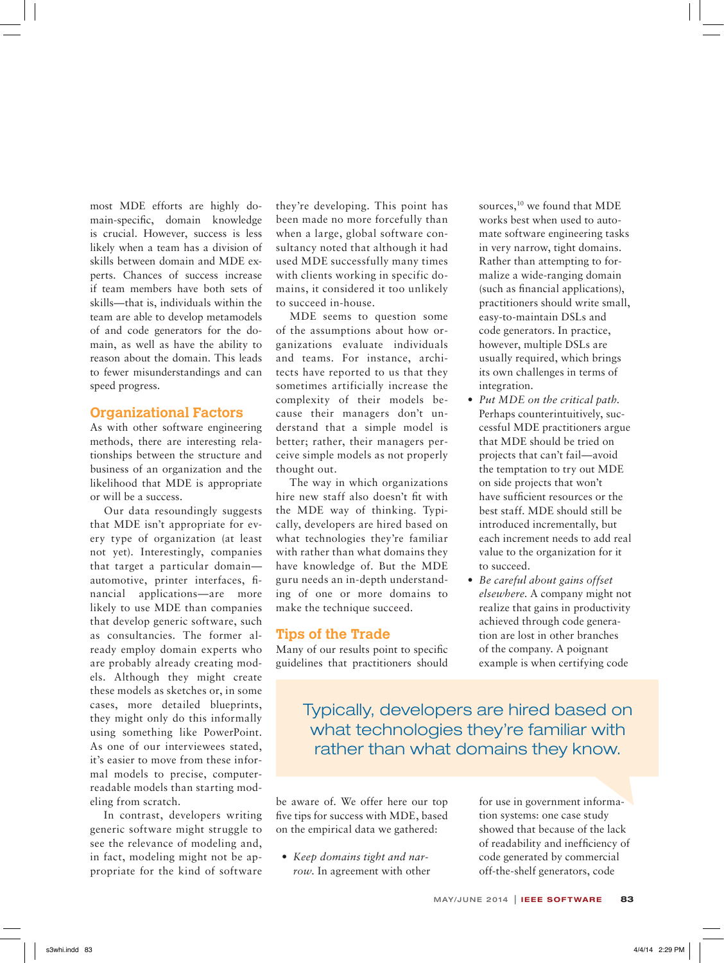most MDE efforts are highly domain-specific, domain knowledge is crucial. However, success is less likely when a team has a division of skills between domain and MDE experts. Chances of success increase if team members have both sets of skills—that is, individuals within the team are able to develop metamodels of and code generators for the domain, as well as have the ability to reason about the domain. This leads to fewer misunderstandings and can speed progress.

## **Organizational Factors**

As with other software engineering methods, there are interesting relationships between the structure and business of an organization and the likelihood that MDE is appropriate or will be a success.

Our data resoundingly suggests that MDE isn't appropriate for every type of organization (at least not yet). Interestingly, companies that target a particular domain automotive, printer interfaces, financial applications—are more likely to use MDE than companies that develop generic software, such as consultancies. The former already employ domain experts who are probably already creating models. Although they might create these models as sketches or, in some cases, more detailed blueprints, they might only do this informally using something like PowerPoint. As one of our interviewees stated, it's easier to move from these informal models to precise, computerreadable models than starting modeling from scratch.

In contrast, developers writing generic software might struggle to see the relevance of modeling and, in fact, modeling might not be appropriate for the kind of software

they're developing. This point has been made no more forcefully than when a large, global software consultancy noted that although it had used MDE successfully many times with clients working in specific domains, it considered it too unlikely to succeed in-house.

MDE seems to question some of the assumptions about how organizations evaluate individuals and teams. For instance, architects have reported to us that they sometimes artificially increase the complexity of their models because their managers don't understand that a simple model is better; rather, their managers perceive simple models as not properly thought out.

The way in which organizations hire new staff also doesn't fit with the MDE way of thinking. Typically, developers are hired based on what technologies they're familiar with rather than what domains they have knowledge of. But the MDE guru needs an in-depth understanding of one or more domains to make the technique succeed.

# **Tips of the Trade**

Many of our results point to specific guidelines that practitioners should sources,<sup>10</sup> we found that MDE works best when used to automate software engineering tasks in very narrow, tight domains. Rather than attempting to formalize a wide-ranging domain (such as financial applications), practitioners should write small, easy-to-maintain DSLs and code generators. In practice, however, multiple DSLs are usually required, which brings its own challenges in terms of integration.

- *• Put MDE on the critical path*. Perhaps counterintuitively, successful MDE practitioners argue that MDE should be tried on projects that can't fail—avoid the temptation to try out MDE on side projects that won't have sufficient resources or the best staff. MDE should still be introduced incrementally, but each increment needs to add real value to the organization for it to succeed.
- *• Be careful about gains offset elsewhere*. A company might not realize that gains in productivity achieved through code generation are lost in other branches of the company. A poignant example is when certifying code

Typically, developers are hired based on what technologies they're familiar with rather than what domains they know.

be aware of. We offer here our top five tips for success with MDE, based on the empirical data we gathered:

*• Keep domains tight and narrow.* In agreement with other for use in government information systems: one case study showed that because of the lack of readability and inefficiency of code generated by commercial off-the-shelf generators, code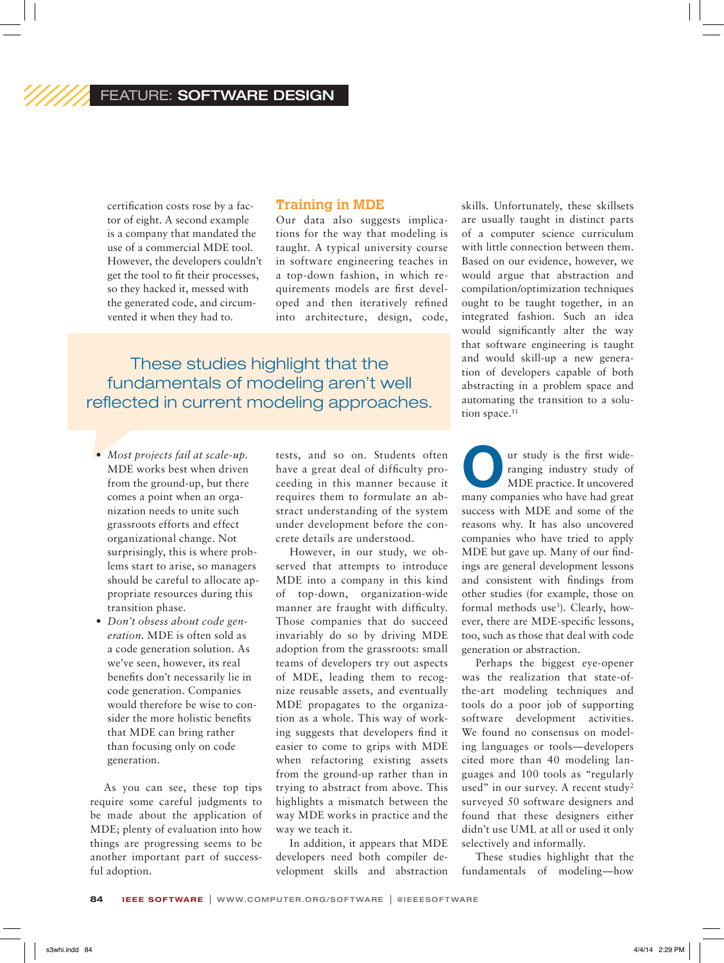certification costs rose by a factor of eight. A second example is a company that mandated the use of a commercial MDE tool. However, the developers couldn't get the tool to fit their processes, so they hacked it, messed with the generated code, and circumvented it when they had to.

## **Training in MDE**

Our data also suggests implications for the way that modeling is taught. A typical university course in software engineering teaches in a top-down fashion, in which requirements models are first developed and then iteratively refined into architecture, design, code,

These studies highlight that the fundamentals of modeling aren't well reflected in current modeling approaches.

- *• Most projects fail at scale-up*. MDE works best when driven from the ground-up, but there comes a point when an organization needs to unite such grassroots efforts and effect organizational change. Not surprisingly, this is where problems start to arise, so managers should be careful to allocate appropriate resources during this transition phase.
- *• Don't obsess about code generation*. MDE is often sold as a code generation solution. As we've seen, however, its real benefits don't necessarily lie in code generation. Companies would therefore be wise to consider the more holistic benefits that MDE can bring rather than focusing only on code generation.

As you can see, these top tips require some careful judgments to be made about the application of MDE; plenty of evaluation into how things are progressing seems to be another important part of successful adoption.

tests, and so on. Students often have a great deal of difficulty proceeding in this manner because it requires them to formulate an abstract understanding of the system under development before the concrete details are understood.

However, in our study, we observed that attempts to introduce MDE into a company in this kind of top-down, organization-wide manner are fraught with difficulty. Those companies that do succeed invariably do so by driving MDE adoption from the grassroots: small teams of developers try out aspects of MDE, leading them to recognize reusable assets, and eventually MDE propagates to the organization as a whole. This way of working suggests that developers find it easier to come to grips with MDE when refactoring existing assets from the ground-up rather than in trying to abstract from above. This highlights a mismatch between the way MDE works in practice and the way we teach it.

In addition, it appears that MDE developers need both compiler development skills and abstraction

skills. Unfortunately, these skillsets are usually taught in distinct parts of a computer science curriculum with little connection between them. Based on our evidence, however, we would argue that abstraction and compilation/optimization techniques ought to be taught together, in an integrated fashion. Such an idea would significantly alter the way that software engineering is taught and would skill-up a new generation of developers capable of both abstracting in a problem space and automating the transition to a solution space.<sup>11</sup>

ur study is the first wideranging industry study of MDE practice. It uncovered many companies who have had great success with MDE and some of the reasons why. It has also uncovered companies who have tried to apply MDE but gave up. Many of our findings are general development lessons and consistent with findings from other studies (for example, those on formal methods use<sup>3</sup>). Clearly, however, there are MDE-specific lessons, too, such as those that deal with code generation or abstraction.

Perhaps the biggest eye-opener was the realization that state-ofthe-art modeling techniques and tools do a poor job of supporting software development activities. We found no consensus on modeling languages or tools—developers cited more than 40 modeling languages and 100 tools as "regularly used" in our survey. A recent study<sup>2</sup> surveyed 50 software designers and found that these designers either didn't use UML at all or used it only selectively and informally.

These studies highlight that the fundamentals of modeling—how